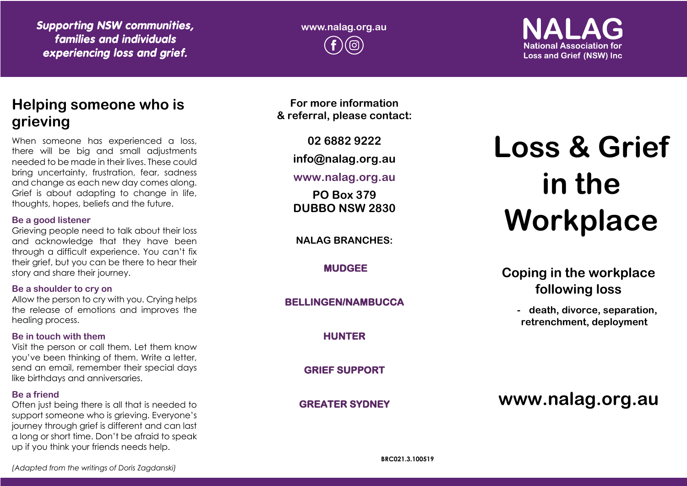*Supporting NSW communities, families and individuals experiencing loss and grief.*

**www.nalag.org.au**

# **National Association for Loss and Grief (NSW) Inc.**

# **Helping someone who is grieving**

When someone has experienced a loss, there will be big and small adjustments needed to be made in their lives. These could bring uncertainty, frustration, fear, sadness and change as each new day comes along. Grief is about adapting to change in life, thoughts, hopes, beliefs and the future.

#### **Be a good listener**

Grieving people need to talk about their loss and acknowledge that they have been through a difficult experience. You can't fix their grief, but you can be there to hear their story and share their journey.

### **Be a shoulder to cry on**

Allow the person to cry with you. Crying helps the release of emotions and improves the healing process.

### **Be in touch with them**

Visit the person or call them. Let them know you've been thinking of them. Write a letter, send an email, remember their special days like birthdays and anniversaries.

### **Be a friend**

Often just being there is all that is needed to support someone who is grieving. Everyone's journey through grief is different and can last a long or short time. Don't be afraid to speak up if you think your friends needs help.

**For more information & referral, please contact:**

**02 6882 9222**

**info@nalag.org.au**

## **www.nalag.org.au**

**PO Box 379 DUBBO NSW 2830**

**NALAG BRANCHES:**

**MUDGEE** 

**BELLINGEN/NAMBUCCA** 

**HUNTER** 

**GRIEF SUPPORT** 

**GREATER SYDNEY** 

# **Loss & Grief in the Workplace**

**Coping in the workplace following loss**

> **- death, divorce, separation, retrenchment, deployment**

**www.nalag.org.au**

*(Adapted from the writings of Doris Zagdanski)*